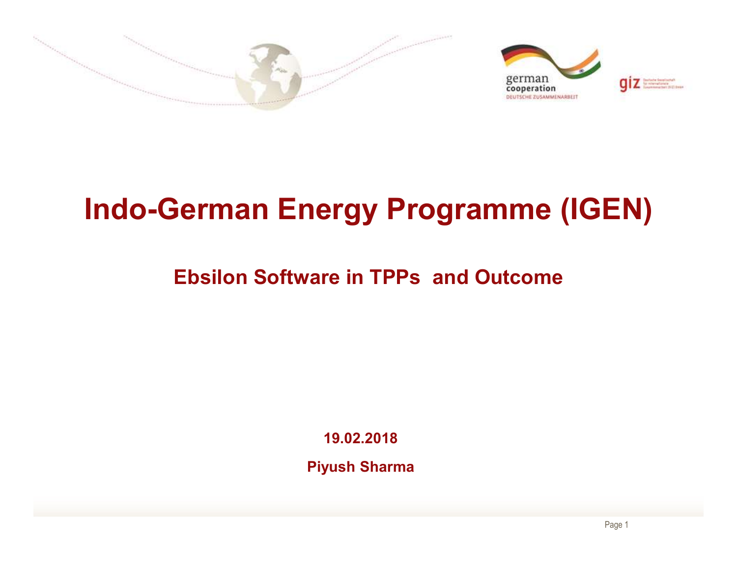

# Indo-German Energy Programme (IGEN)

### Ebsilon Software in TPPs and Outcome

19.02.2018

Piyush Sharma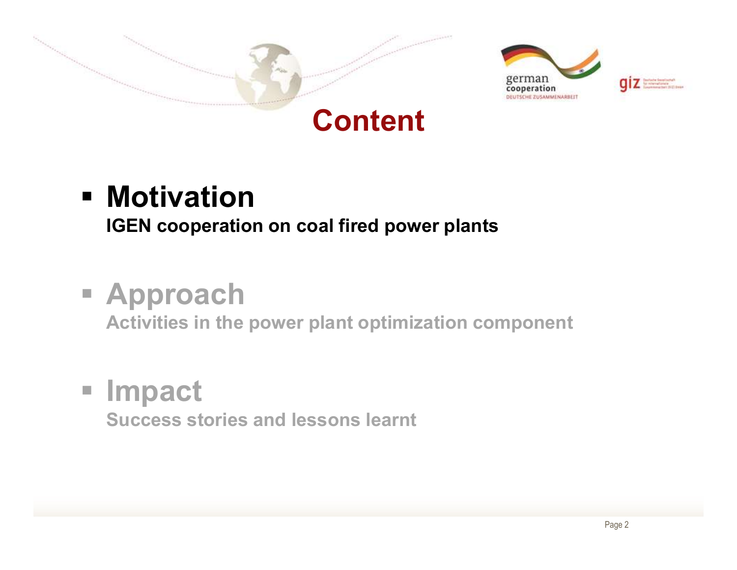





## **- Motivation** IGEN cooperation on coal fired power plants

# Approach

Activities in the power plant optimization component

# **Impact**

Success stories and lessons learnt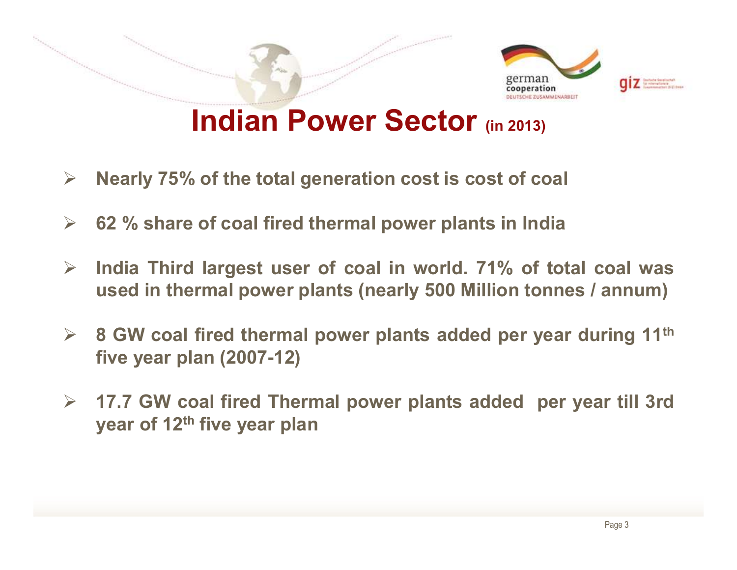

- 
- 
- 
- **Solution Fower Sector** (in 2013)<br>
8 Nearly 75% of the total generation cost is cost of coal<br>
8 G2 % share of coal fired thermal power plants in India<br>
8 India Third largest user of coal in world. 71% of total coal was<br>
9 **INCIIAN POWET SECTOT** (in 20<br>Nearly 75% of the total generation cost is cost of<br>62 % share of coal fired thermal power plants in l<br>India Third largest user of coal in world. 71% (<br>used in thermal power plants (nearly 500 From years of the team generation occurs occurs to the team.<br>62 % share of coal fired thermal power plants in India<br>India Third largest user of coal in world. 71% of total<br>used in thermal power plants (nearly 500 Million
- <ul>\n<li>Nearly 75% of the total generation cost is cost of coal</li>\n<li>62 % share of coal fired thermal power plants in India</li>\n<li>India Third largest user of coal in world. 71% of total coal was used in thermal power plants (nearly 500 million tonnes / annum)</li>\n<li>8 GW coal fired thermal power plants added per year during 11<sup>th</sup> five year plan (2007-12)</li>\n<li>17.7 GW coal fired Thermal power plants added per year till 3rd year of 12<sup>th</sup> five year plan</li>\n</ul>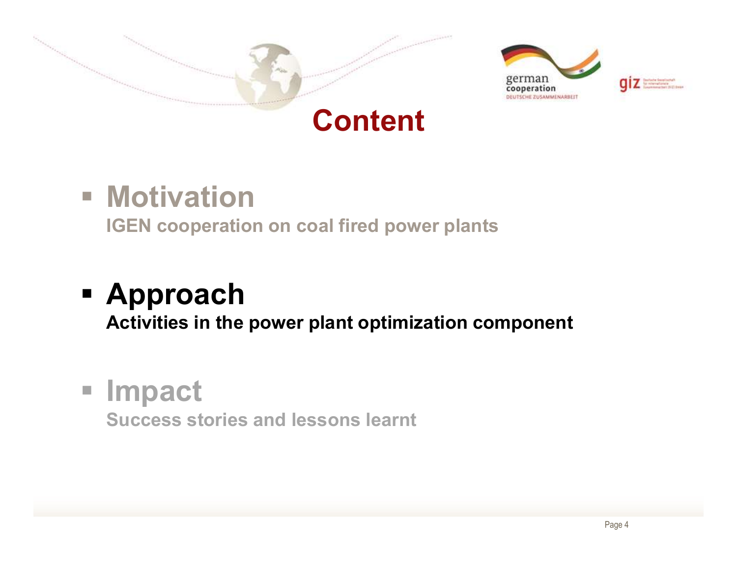





## **- Motivation**

IGEN cooperation on coal fired power plants

# Approach

Activities in the power plant optimization component

## **Impact**

Success stories and lessons learnt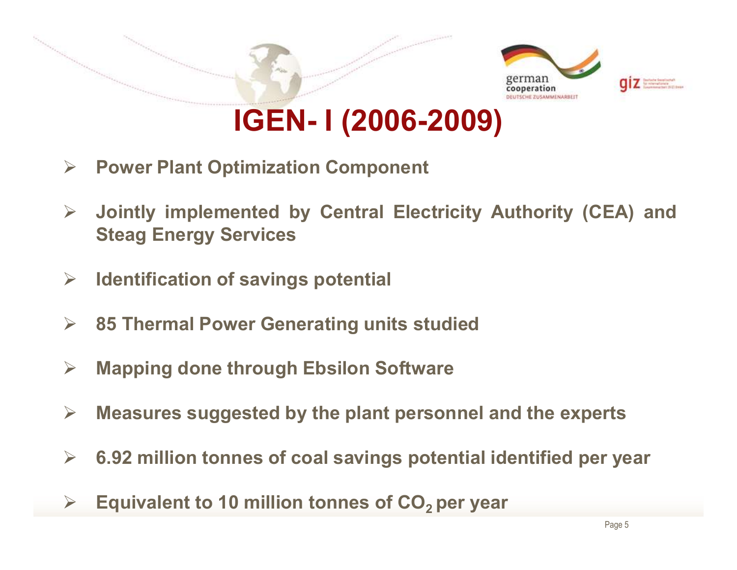

- 
- A Power Plant Optimization Component<br>
→ Jointly implemented by Central Electricity Authority (CEA) and<br>
Steag Energy Services<br>
→ Identification of savings potential<br>
→ 85 Thermal Power Generating units studied<br>
→ Mapping Measure Supplemented by Central Electricity Authority (CEA) and<br>
Steag Energy Services<br>
→ Identification of savings potential<br>
→ 85 Thermal Power Generating units studied<br>
→ Mapping done through Ebsilon Software<br>
→ Measur Steag Energy Services<br>
Steag Energy Services<br>
> Identification of savings potential<br>
> 85 Thermal Power Generating units studied<br>
> Mapping done through Ebsilon Software<br>
> Measures suggested by the plant personnel and th
- 
- 
- 
- 
- Equivalent to 10 million tonnes of CO<sub>2</sub> per year<br>
Equivalent to 10 million tonnes of CO<sub>2</sub> per year<br>
Equivalent to 10 million tonnes of CO<sub>2</sub> per year<br>
Equivalent to 10 million tonnes of CO<sub>2</sub> per year
-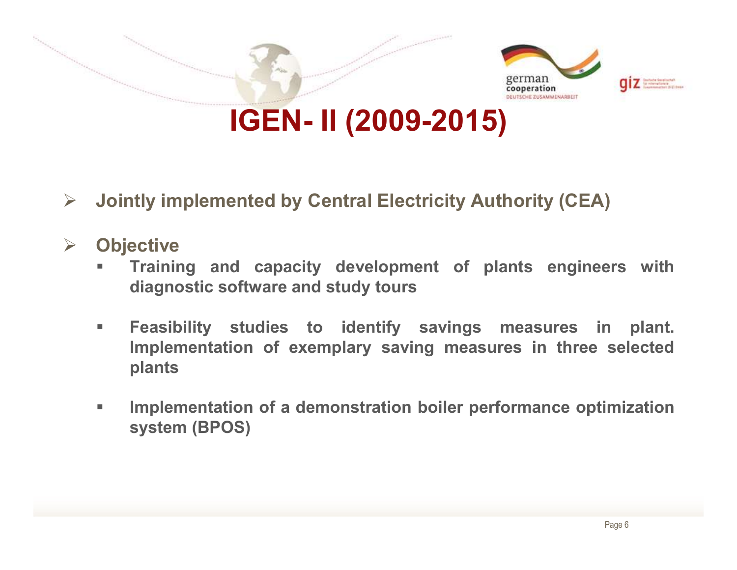![](_page_5_Picture_0.jpeg)

- 
- **▶ Objective** 
	-
- **IGEN II (2009-2015)**<br>Itly implemented by Central Electricity Authority (CEA)<br>ective<br>Training and capacity development of plants engineers with<br>diagnostic software and study tours<br>Feasibility studies to identify savings plants **IDENTIFY IMPLEM INTERT CONTROLLET SURFERENT CONTROVIDENT:**<br>
IDENTIFY Training and capacity development of plants engineers with<br>
diagnostic software and study tours<br>
Interaction boiler performance in plant.<br>
Implementatio ntly implemented by Central Electricity Auted<br>Fraining and capacity development of plot diagnostic software and study tours<br>Feasibility studies to identify savings<br>Implementation of exemplary saving measu<br>plants<br>Implementa
	-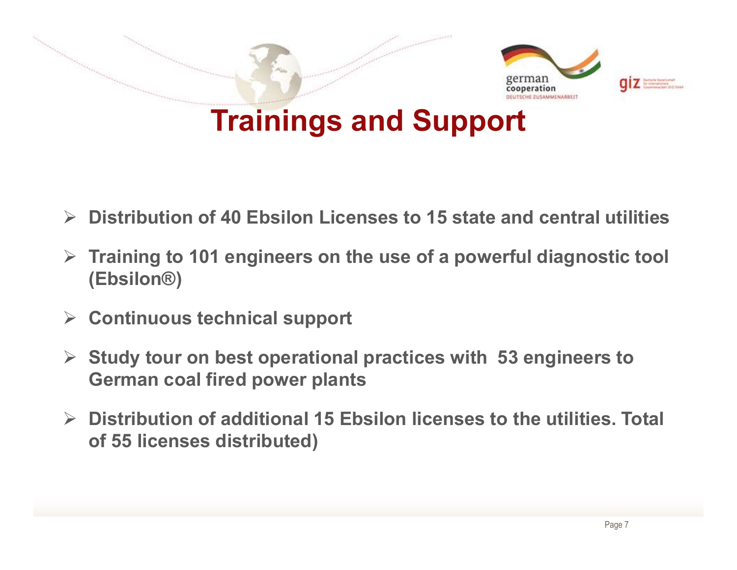![](_page_6_Picture_0.jpeg)

- $\triangleright$  Distribution of 40 Ebsilon Licenses to 15 state and central utilities
- $\triangleright$  Training to 101 engineers on the use of a powerful diagnostic tool (Ebsilon®) → Distribution of 40 Ebsilon Licenses to 15 state and central utilities<br>
→ Training to 101 engineers on the use of a powerful diagnostic tool<br>
(Ebsilon®)<br>
→ Continuous technical support<br>
→ Study tour on best operational
- $\triangleright$  Continuous technical support
- $\triangleright$  Study tour on best operational practices with 53 engineers to German coal fired power plants
- of 55 licenses distributed)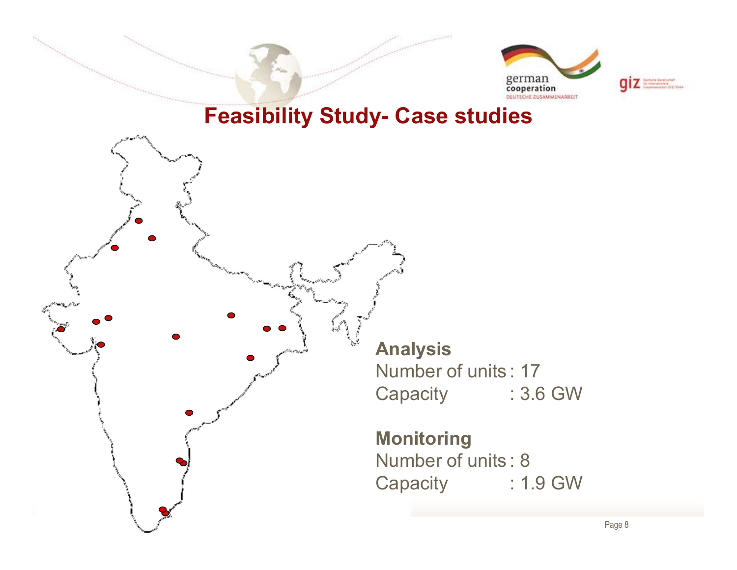![](_page_7_Picture_0.jpeg)

![](_page_7_Picture_1.jpeg)

![](_page_7_Figure_3.jpeg)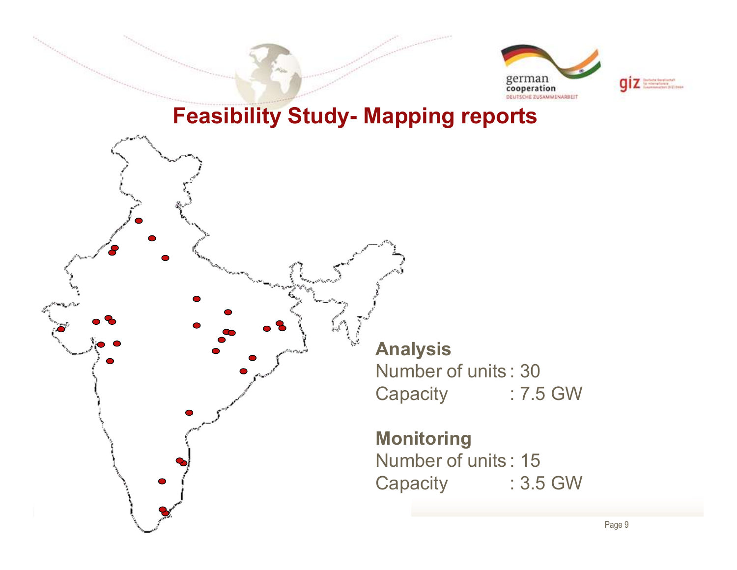![](_page_8_Picture_0.jpeg)

![](_page_8_Picture_1.jpeg)

![](_page_8_Figure_3.jpeg)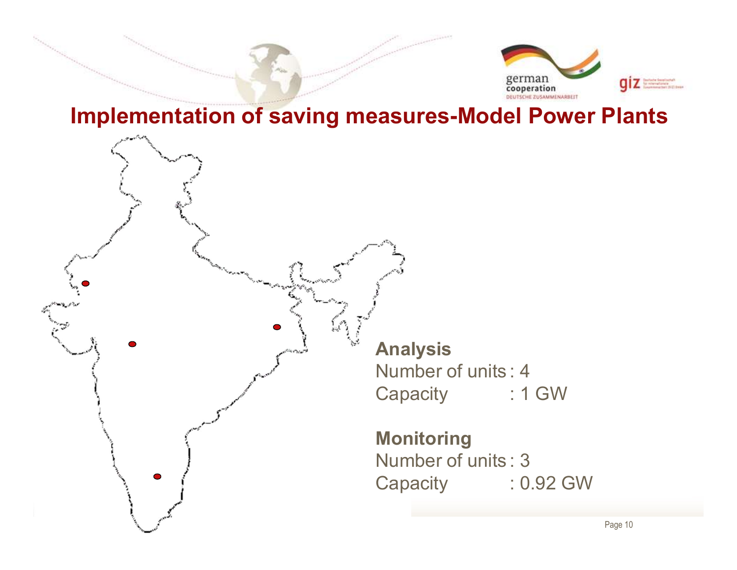![](_page_9_Picture_0.jpeg)

#### Implementation of saving measures-Model Power Plants

![](_page_9_Figure_2.jpeg)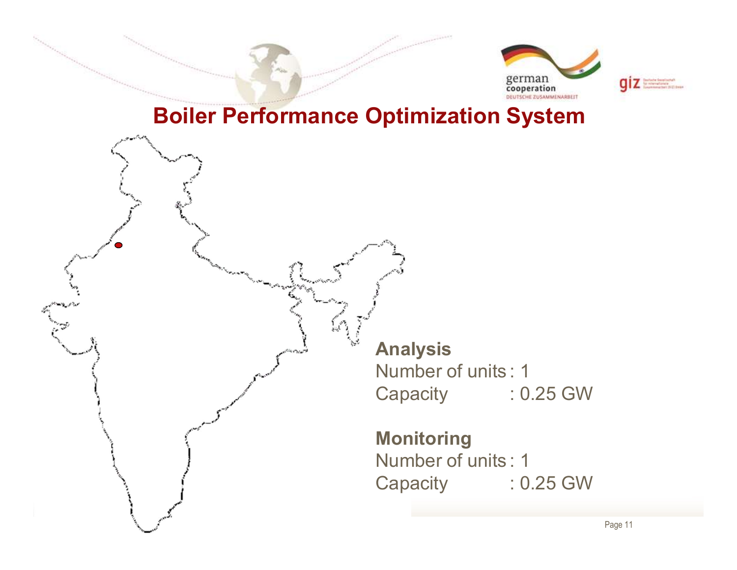![](_page_10_Picture_0.jpeg)

![](_page_10_Picture_1.jpeg)

### Boiler Performance Optimization System

Analysis Analysis<br>
Number of units : 1<br>
Capacity : 0.25 GW<br>
Mustarian Analysis<br>
Number of units : 1<br>
Capacity : 0.25 GW<br>
Monitoring Analysis<br>
Number of units : 1<br>
Capacity : 0.25 GW<br>
Monitoring<br>
Number of units : 1<br>
Capacity : 0.25 GW Analysis<br>
Number of units : 1<br>
Capacity : 0.25 GW<br>
Monitoring<br>
Number of units : 1<br>
Capacity : 0.25 GW

### Monitoring

 $\sum_{x}$  Page 11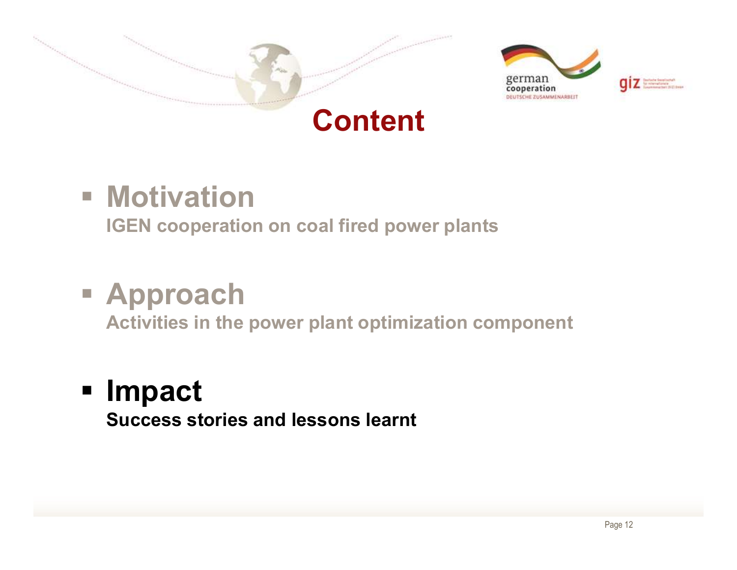![](_page_11_Picture_0.jpeg)

![](_page_11_Picture_1.jpeg)

![](_page_11_Picture_2.jpeg)

## **- Motivation**

IGEN cooperation on coal fired power plants

# Approach

Activities in the power plant optimization component

# **Impact**

Success stories and lessons learnt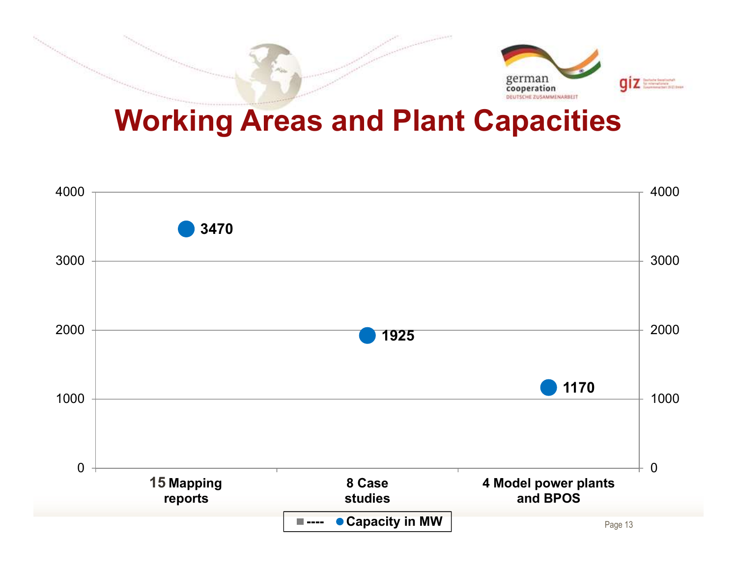![](_page_12_Picture_0.jpeg)

## Working Areas and Plant Capacities

![](_page_12_Figure_2.jpeg)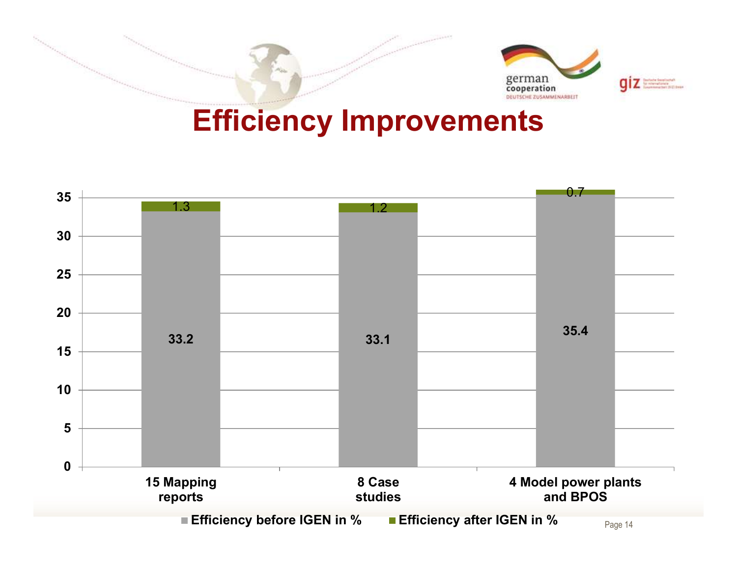![](_page_13_Picture_0.jpeg)

## Efficiency Improvements

![](_page_13_Figure_2.jpeg)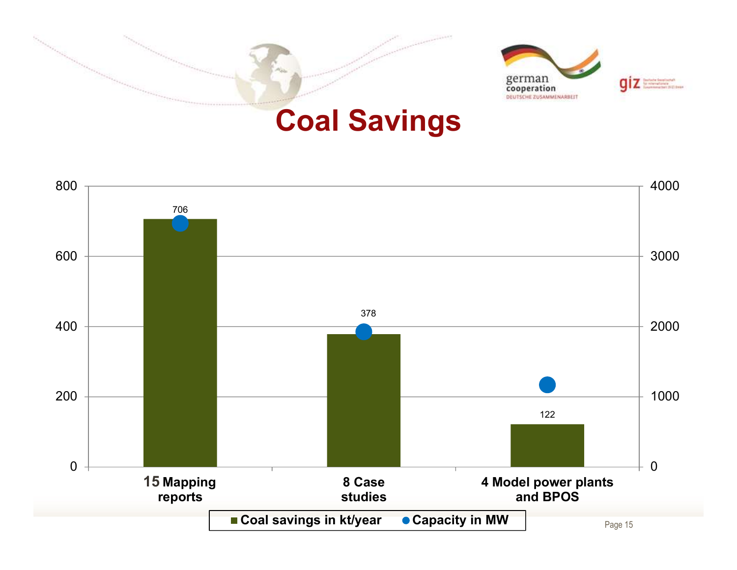![](_page_14_Picture_0.jpeg)

![](_page_14_Figure_1.jpeg)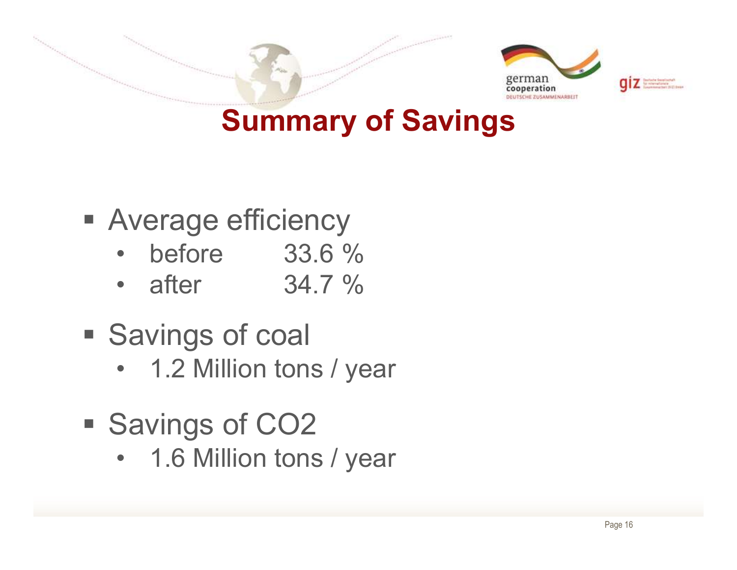![](_page_15_Picture_0.jpeg)

## Summary of Savings

- **Average efficiency** 
	-
	-
- **Savings of coal**
- Werage efficiency<br>
 before 33.6 %<br>
 after 34.7 %<br>
Savings of coal<br>
 1.2 Million tons / year<br>
Savings of CO2
- Savings of CO2
- before 33.6 %<br>• after 34.7 %<br>Savings of coal<br>• 1.2 Million tons / year<br>Savings of CO2<br>• 1.6 Million tons / year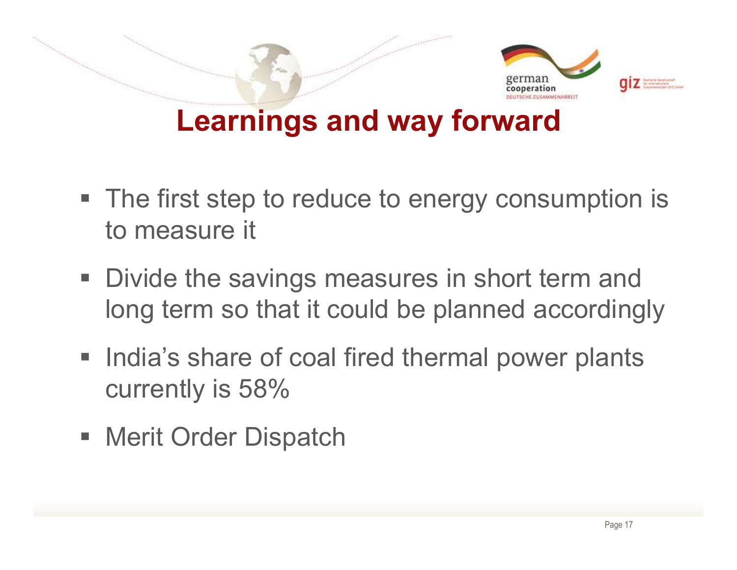![](_page_16_Picture_0.jpeg)

- The first step to reduce to energy consumption is to measure it
- Divide the savings measures in short term and long term so that it could be planned accordingly
- **India's share of coal fired thermal power plants** currently is 58%
- Merit Order Dispatch